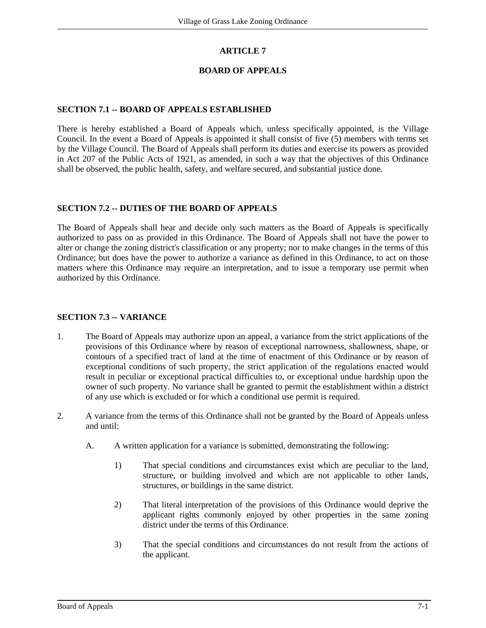## **ARTICLE 7**

### **BOARD OF APPEALS**

#### **SECTION 7.1 -- BOARD OF APPEALS ESTABLISHED**

There is hereby established a Board of Appeals which, unless specifically appointed, is the Village Council. In the event a Board of Appeals is appointed it shall consist of five (5) members with terms set by the Village Council. The Board of Appeals shall perform its duties and exercise its powers as provided in Act 207 of the Public Acts of 1921, as amended, in such a way that the objectives of this Ordinance shall be observed, the public health, safety, and welfare secured, and substantial justice done.

#### **SECTION 7.2 -- DUTIES OF THE BOARD OF APPEALS**

The Board of Appeals shall hear and decide only such matters as the Board of Appeals is specifically authorized to pass on as provided in this Ordinance. The Board of Appeals shall not have the power to alter or change the zoning district's classification or any property; nor to make changes in the terms of this Ordinance; but does have the power to authorize a variance as defined in this Ordinance, to act on those matters where this Ordinance may require an interpretation, and to issue a temporary use permit when authorized by this Ordinance.

### **SECTION 7.3 -- VARIANCE**

- 1. The Board of Appeals may authorize upon an appeal, a variance from the strict applications of the provisions of this Ordinance where by reason of exceptional narrowness, shallowness, shape, or contours of a specified tract of land at the time of enactment of this Ordinance or by reason of exceptional conditions of such property, the strict application of the regulations enacted would result in peculiar or exceptional practical difficulties to, or exceptional undue hardship upon the owner of such property. No variance shall be granted to permit the establishment within a district of any use which is excluded or for which a conditional use permit is required.
- 2. A variance from the terms of this Ordinance shall not be granted by the Board of Appeals unless and until:
	- A. A written application for a variance is submitted, demonstrating the following:
		- 1) That special conditions and circumstances exist which are peculiar to the land, structure, or building involved and which are not applicable to other lands, structures, or buildings in the same district.
		- 2) That literal interpretation of the provisions of this Ordinance would deprive the applicant rights commonly enjoyed by other properties in the same zoning district under the terms of this Ordinance.
		- 3) That the special conditions and circumstances do not result from the actions of the applicant.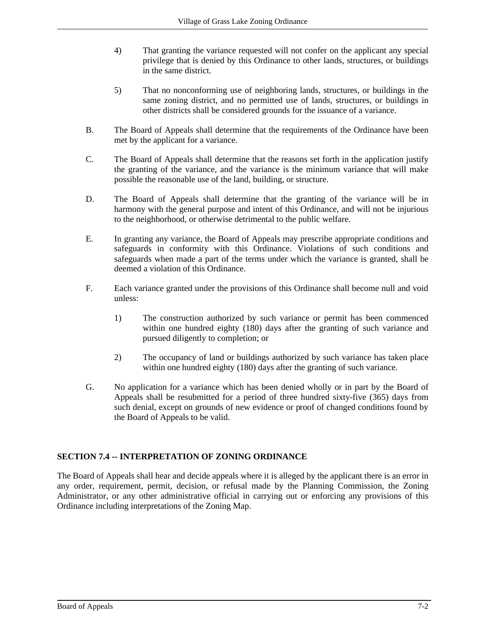- 4) That granting the variance requested will not confer on the applicant any special privilege that is denied by this Ordinance to other lands, structures, or buildings in the same district.
- 5) That no nonconforming use of neighboring lands, structures, or buildings in the same zoning district, and no permitted use of lands, structures, or buildings in other districts shall be considered grounds for the issuance of a variance.
- B. The Board of Appeals shall determine that the requirements of the Ordinance have been met by the applicant for a variance.
- C. The Board of Appeals shall determine that the reasons set forth in the application justify the granting of the variance, and the variance is the minimum variance that will make possible the reasonable use of the land, building, or structure.
- D. The Board of Appeals shall determine that the granting of the variance will be in harmony with the general purpose and intent of this Ordinance, and will not be injurious to the neighborhood, or otherwise detrimental to the public welfare.
- E. In granting any variance, the Board of Appeals may prescribe appropriate conditions and safeguards in conformity with this Ordinance. Violations of such conditions and safeguards when made a part of the terms under which the variance is granted, shall be deemed a violation of this Ordinance.
- F. Each variance granted under the provisions of this Ordinance shall become null and void unless:
	- 1) The construction authorized by such variance or permit has been commenced within one hundred eighty (180) days after the granting of such variance and pursued diligently to completion; or
	- 2) The occupancy of land or buildings authorized by such variance has taken place within one hundred eighty (180) days after the granting of such variance.
- G. No application for a variance which has been denied wholly or in part by the Board of Appeals shall be resubmitted for a period of three hundred sixty-five (365) days from such denial, except on grounds of new evidence or proof of changed conditions found by the Board of Appeals to be valid.

# **SECTION 7.4 -- INTERPRETATION OF ZONING ORDINANCE**

The Board of Appeals shall hear and decide appeals where it is alleged by the applicant there is an error in any order, requirement, permit, decision, or refusal made by the Planning Commission, the Zoning Administrator, or any other administrative official in carrying out or enforcing any provisions of this Ordinance including interpretations of the Zoning Map.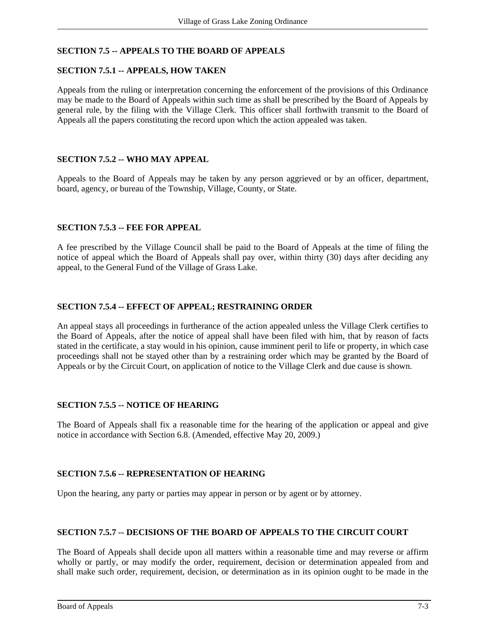# **SECTION 7.5 -- APPEALS TO THE BOARD OF APPEALS**

### **SECTION 7.5.1 -- APPEALS, HOW TAKEN**

Appeals from the ruling or interpretation concerning the enforcement of the provisions of this Ordinance may be made to the Board of Appeals within such time as shall be prescribed by the Board of Appeals by general rule, by the filing with the Village Clerk. This officer shall forthwith transmit to the Board of Appeals all the papers constituting the record upon which the action appealed was taken.

### **SECTION 7.5.2 -- WHO MAY APPEAL**

Appeals to the Board of Appeals may be taken by any person aggrieved or by an officer, department, board, agency, or bureau of the Township, Village, County, or State.

#### **SECTION 7.5.3 -- FEE FOR APPEAL**

A fee prescribed by the Village Council shall be paid to the Board of Appeals at the time of filing the notice of appeal which the Board of Appeals shall pay over, within thirty (30) days after deciding any appeal, to the General Fund of the Village of Grass Lake.

#### **SECTION 7.5.4 -- EFFECT OF APPEAL; RESTRAINING ORDER**

An appeal stays all proceedings in furtherance of the action appealed unless the Village Clerk certifies to the Board of Appeals, after the notice of appeal shall have been filed with him, that by reason of facts stated in the certificate, a stay would in his opinion, cause imminent peril to life or property, in which case proceedings shall not be stayed other than by a restraining order which may be granted by the Board of Appeals or by the Circuit Court, on application of notice to the Village Clerk and due cause is shown.

## **SECTION 7.5.5 -- NOTICE OF HEARING**

The Board of Appeals shall fix a reasonable time for the hearing of the application or appeal and give notice in accordance with Section 6.8. (Amended, effective May 20, 2009.)

#### **SECTION 7.5.6 -- REPRESENTATION OF HEARING**

Upon the hearing, any party or parties may appear in person or by agent or by attorney.

## **SECTION 7.5.7 -- DECISIONS OF THE BOARD OF APPEALS TO THE CIRCUIT COURT**

The Board of Appeals shall decide upon all matters within a reasonable time and may reverse or affirm wholly or partly, or may modify the order, requirement, decision or determination appealed from and shall make such order, requirement, decision, or determination as in its opinion ought to be made in the